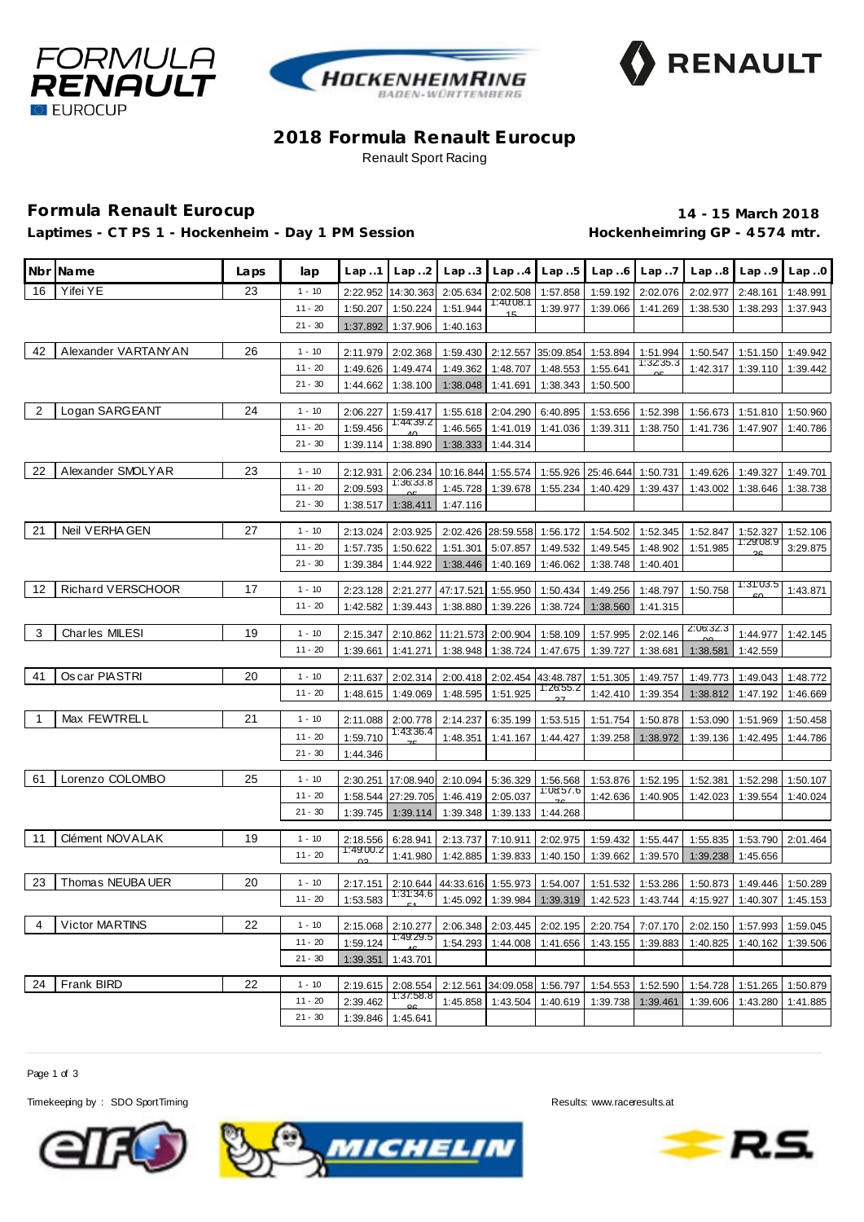





## **2018 Formula Renault Eurocup** Renault Sport Racing

# **Formula Renault Eurocup 14 - 15 March 2018**

Laptimes - CT PS 1 - Hockenheim - Day 1 PM Session **Hockenheimring GP** - 4574 mtr.

|                | Nbr Name            | Laps | lap       | Lap.1                | Lap.2                 |                                               |                             | $Lap.3$ $Lap.4$ $Lap.5$               |          | $Lap.6$ $Lap.7$      |                   | $Lap.8$ $Lap.9$ | Lap.0    |
|----------------|---------------------|------|-----------|----------------------|-----------------------|-----------------------------------------------|-----------------------------|---------------------------------------|----------|----------------------|-------------------|-----------------|----------|
| 16             | Yifei YE            | 23   | $1 - 10$  | 2:22.952             |                       | 14:30.363 2:05.634 2:02.508 1:57.858 1:59.192 |                             |                                       |          | 2:02.076             | 2:02.977          | 2:48.161        | 1:48.991 |
|                |                     |      | $11 - 20$ | 1:50.207             | 1:50.224              | 1:51.944                                      | 1:40:08.1                   | 1:39.977                              | 1:39.066 | 1:41.269             | 1:38.530          | 1:38.293        | 1:37.943 |
|                |                     |      | $21 - 30$ | 1:37.892             | 1:37.906              | 1:40.163                                      |                             |                                       |          |                      |                   |                 |          |
| 42             | Alexander VARTANYAN | 26   |           |                      |                       |                                               |                             |                                       |          |                      |                   |                 |          |
|                |                     |      | $1 - 10$  | 2:11.979             | 2:02.368              |                                               |                             | 1:59.430 2:12.557 35:09.854           | 1:53.894 | 1:51.994<br>1:3235.3 | 1:50.547          | 1:51.150        | 1:49.942 |
|                |                     |      | $11 - 20$ | 1:49.626             | 1:49.474              | 1:49.362                                      | 1:48.707                    | 1:48.553                              | 1:55.641 |                      | 1:42.317          | 1:39.110        | 1:39.442 |
|                |                     |      | $21 - 30$ | 1:44.662             | 1:38.100              | 1:38.048                                      | 1:41.691                    | 1:38.343                              | 1:50.500 |                      |                   |                 |          |
| $\overline{2}$ | Logan SARGEANT      | 24   | $1 - 10$  | 2:06.227             | 1:59.417              |                                               | 1:55.618 2:04.290           | 6:40.895                              | 1:53.656 | 1:52.398             | 1:56.673          | 1:51.810        | 1:50.960 |
|                |                     |      | $11 - 20$ | 1:59.456             | 1:44:39.2             | 1:46.565                                      | 1:41.019                    | 1:41.036                              | 1:39.311 | 1:38.750             | 1:41.736          | 1:47.907        | 1:40.786 |
|                |                     |      | $21 - 30$ | 1:39.114             | 1:38.890              |                                               | 1:38.333 1:44.314           |                                       |          |                      |                   |                 |          |
|                |                     |      |           |                      |                       |                                               |                             |                                       |          |                      |                   |                 |          |
| 22             | Alexander SMOLYAR   | 23   | $1 - 10$  | 2:12.931             | 2:06.234<br>1:36:33.8 |                                               |                             | 10:16.844 1:55.574 1:55.926 25:46.644 |          | 1:50.731             | 1:49.626 1:49.327 |                 | 1:49.701 |
|                |                     |      | $11 - 20$ | 2:09.593             |                       | 1:45.728                                      | 1:39.678                    | 1:55.234                              | 1:40.429 | 1:39.437             | 1:43.002          | 1:38.646        | 1:38.738 |
|                |                     |      | $21 - 30$ | 1:38.517             | 1:38.411              | 1:47.116                                      |                             |                                       |          |                      |                   |                 |          |
| 21             | Neil VERHA GEN      | 27   | $1 - 10$  | 2:13.024             | 2:03.925              |                                               |                             | 2:02.426 28:59.558 1:56.172           | 1:54.502 | 1:52.345             | 1:52.847          | 1:52.327        | 1:52.106 |
|                |                     |      | $11 - 20$ | 1:57.735             | 1:50.622              | 1:51.301                                      |                             | 5:07.857 1:49.532                     | 1:49.545 | 1:48.902             | 1:51.985          | 1:29:08.9       | 3:29.875 |
|                |                     |      | $21 - 30$ | 1:39.384             | 1:44.922              | 1:38.446                                      | 1:40.169                    | 1:46.062                              | 1:38.748 | 1:40.401             |                   |                 |          |
|                |                     |      |           |                      |                       |                                               |                             |                                       |          |                      |                   |                 |          |
| 12             | Richard VERSCHOOR   | 17   | $1 - 10$  | 2:23.128             | 2:21.277              | 47:17.521                                     | 1:55.950                    | 1:50.434                              | 1:49.256 | 1:48.797             | 1:50.758          | 1:31:03.5       | 1:43.871 |
|                |                     |      | $11 - 20$ | 1:42.582             | 1:39.443              | 1:38.880                                      | 1:39.226                    | 1:38.724                              | 1:38.560 | 1:41.315             |                   |                 |          |
| 3              | Charles MILESI      | 19   | $1 - 10$  |                      |                       |                                               |                             |                                       |          |                      | 2:06:32.3         |                 |          |
|                |                     |      |           | 2:15.347             |                       | 2:10.862 11:21.573 2:00.904 1:58.109          |                             |                                       | 1:57.995 | 2:02.146             |                   | 1:44.977        | 1:42.145 |
|                |                     |      | $11 - 20$ | 1:39.661             | 1:41.271              | 1:38.948                                      | 1:38.724                    | 1:47.675                              | 1:39.727 | 1:38.681             | 1:38.581          | 1:42.559        |          |
| 41             | Os car PIASTRI      | 20   | $1 - 10$  | 2:11.637             | 2:02.314              |                                               |                             | 2:00.418 2:02.454 43:48.787           | 1:51.305 | 1:49.757             | 1:49.773          | 1:49.043        | 1:48.772 |
|                |                     |      | $11 - 20$ | 1:48.615             | 1:49.069              | 1:48.595                                      | 1:51.925                    | 1:26:55.2                             | 1:42.410 | 1:39.354             | 1:38.812          | 1:47.192        | 1:46.669 |
|                |                     |      |           |                      |                       |                                               |                             |                                       |          |                      |                   |                 |          |
| $\overline{1}$ | Max FEWTRELL        | 21   | $1 - 10$  | 2:11.088             | 2:00.778<br>1:43:36.4 | 2:14.237                                      | 6:35.199                    | 1:53.515                              | 1:51.754 | 1:50.878             | 1:53.090          | 1:51.969        | 1:50.458 |
|                |                     |      | $11 - 20$ | 1:59.710             |                       | 1:48.351                                      | 1:41.167                    | 1:44.427                              | 1:39.258 | 1:38.972             | 1:39.136          | 1:42.495        | 1:44.786 |
|                |                     |      | $21 - 30$ | 1:44.346             |                       |                                               |                             |                                       |          |                      |                   |                 |          |
| 61             | Lorenzo COLOMBO     | 25   | $1 - 10$  | 2:30.251             | 17:08.940             |                                               | 2:10.094 5:36.329           | 1:56.568                              | 1:53.876 | 1:52.195             | 1:52.381          | 1:52.298        | 1:50.107 |
|                |                     |      | $11 - 20$ | 1:58.544             | 27:29.705             |                                               | 1:46.419 2:05.037           | 1:08.57.6                             | 1:42.636 | 1:40.905             | 1:42.023          | 1:39.554        | 1:40.024 |
|                |                     |      | $21 - 30$ | 1:39.745             | 1:39.114              | 1:39.348                                      | 1:39.133                    | 1:44.268                              |          |                      |                   |                 |          |
|                |                     |      |           |                      |                       |                                               |                             |                                       |          |                      |                   |                 |          |
| 11             | Clément NOVALAK     | 19   | $1 - 10$  | 2:18.556             | 6:28.941              | 2:13.737                                      | 7:10.911                    | 2:02.975                              | 1:59.432 | 1:55.447             | 1:55.835          | 1:53.790        | 2:01.464 |
|                |                     |      | $11 - 20$ | 1:49:00.2            | 1:41.980              | 1:42.885                                      | 1:39.833                    | 1:40.150                              | 1:39.662 | 1:39.570             | 1:39.238          | 1:45.656        |          |
| 23             | Thomas NEUBA UER    | 20   | $1 - 10$  |                      |                       |                                               |                             |                                       |          |                      |                   |                 | 1:50.289 |
|                |                     |      | $11 - 20$ | 2:17.151<br>1:53.583 | 2:10.644<br>1:31:34.6 |                                               | 44:33.616 1:55.973          | 1:54.007                              | 1:51.532 | 1:53.286             | 1:50.873          | 1:49.446        |          |
|                |                     |      |           |                      |                       |                                               | 1:45.092   1:39.984         | 1:39.319                              | 1:42.523 | 1:43.744             | 4:15.927          | 1:40.307        | 1:45.153 |
| $\overline{4}$ | Victor MARTINS      | 22   | $1 - 10$  | 2:15.068             | 2:10.277              |                                               | 2:06.348 2:03.445           | 2:02.195                              | 2:20.754 | 7:07.170             | 2:02.150          | 1:57.993        | 1:59.045 |
|                |                     |      | $11 - 20$ | 1:59.124             | 1:49.29.5             | 1:54.293                                      | 1:44.008                    | 1:41.656                              | 1:43.155 | 1:39.883             | 1:40.825          | 1:40.162        | 1:39.506 |
|                |                     |      | $21 - 30$ | 1:39.351             | 1:43.701              |                                               |                             |                                       |          |                      |                   |                 |          |
|                |                     |      |           |                      |                       |                                               |                             |                                       |          |                      |                   |                 |          |
| 24             | <b>Frank BIRD</b>   | 22   | $1 - 10$  | 2:19.615             | 2:08.554<br>1:37:58.8 |                                               | 2:12.561 34:09.058 1:56.797 |                                       | 1:54.553 | 1:52.590             | 1:54.728          | 1:51.265        | 1:50.879 |
|                |                     |      | $11 - 20$ | 2:39.462             |                       | 1:45.858                                      | 1:43.504                    | 1:40.619                              | 1:39.738 | 1:39.461             | 1:39.606          | 1:43.280        | 1:41.885 |
|                |                     |      | $21 - 30$ | 1:39.846             | 1:45.641              |                                               |                             |                                       |          |                      |                   |                 |          |

Page 1 of 3

Timekeeping by : SDO SportTiming Results:<www.raceresults.at>



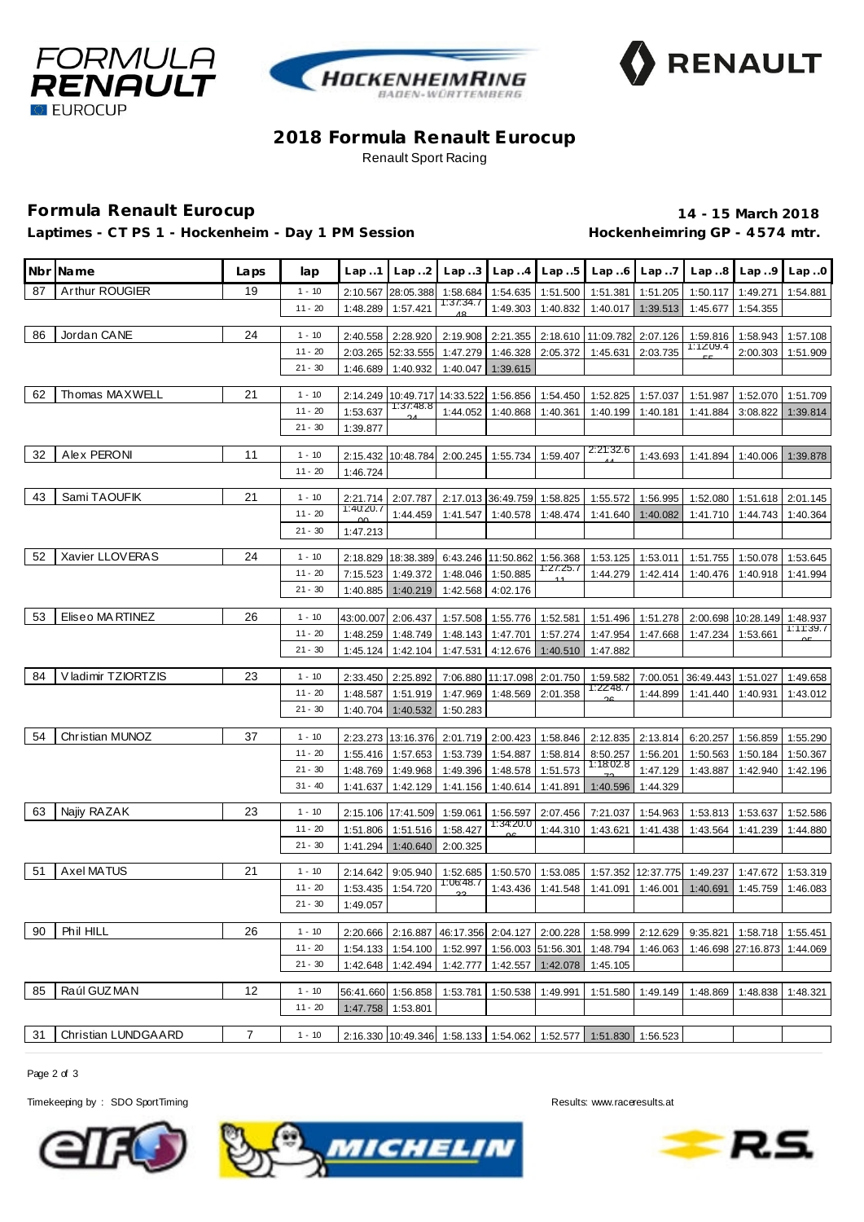





## **2018 Formula Renault Eurocup** Renault Sport Racing

# **Formula Renault Eurocup 14 - 15 March 2018**

Laptimes - CT PS 1 - Hockenheim - Day 1 PM Session **Hockenheimring GP** - 4574 mtr.

|    | Nbr Name            | Laps | lap                   | Lap.1               | Lap.2                                          |                       |                             | $Lap3$ $Lap4$ $Lap5$            |                                                                             | $Lap.6$ $Lap.7$      |                    | $Lap.8$ $Lap.9$ $Lap.0$ |                      |
|----|---------------------|------|-----------------------|---------------------|------------------------------------------------|-----------------------|-----------------------------|---------------------------------|-----------------------------------------------------------------------------|----------------------|--------------------|-------------------------|----------------------|
| 87 | Arthur ROUGIER      | 19   | $1 - 10$              | 2:10.567            | 28:05.388                                      | 1:58.684              |                             | 1:54.635 1:51.500               | 1:51.381                                                                    | 1:51.205             | 1:50.117           | 1:49.271                | 1:54.881             |
|    |                     |      | $11 - 20$             | 1:48.289            | 1:57.421                                       | 1:37:34.7             |                             | 1:49.303 1:40.832               | 1:40.017                                                                    | 1:39.513             | 1:45.677           | 1:54.355                |                      |
| 86 | Jordan CANE         | 24   | $1 - 10$              |                     | 2:28.920                                       |                       |                             |                                 |                                                                             |                      | 1:59.816           |                         |                      |
|    |                     |      | $11 - 20$             | 2:40.558            | 2:03.265 52:33.555                             |                       |                             | 1:47.279 1:46.328 2:05.372      | 2:19.908   2:21.355   2:18.610   11:09.782<br>1:45.631                      | 2:07.126<br>2:03.735 | 1:12:09.4          | 1:58.943<br>2:00.303    | 1:57.108<br>1:51.909 |
|    |                     |      | $21 - 30$             | 1:46.689            | 1:40.932                                       | 1:40.047              | 1:39.615                    |                                 |                                                                             |                      |                    |                         |                      |
|    |                     |      |                       |                     |                                                |                       |                             |                                 |                                                                             |                      |                    |                         |                      |
| 62 | Thomas MAXWELL      | 21   | $1 - 10$              |                     | 2:14.249 10:49.717 14:33.522 1:56.856 1:54.450 |                       |                             |                                 | 1:52.825                                                                    | 1:57.037             | 1:51.987           | 1:52.070                | 1:51.709             |
|    |                     |      | $11 - 20$             | 1:53.637            | 1:37:48.8                                      | 1:44.052              | 1:40.868                    | 1:40.361                        | 1:40.199                                                                    | 1:40.181             | 1:41.884           | 3:08.822                | 1:39.814             |
|    |                     |      | $21 - 30$             | 1:39.877            |                                                |                       |                             |                                 |                                                                             |                      |                    |                         |                      |
| 32 | Alex PERONI         | 11   |                       |                     |                                                |                       |                             |                                 | 2:21:32.6                                                                   |                      |                    |                         |                      |
|    |                     |      | $1 - 10$<br>$11 - 20$ |                     | 2:15.432 10:48.784 2:00.245 1:55.734 1:59.407  |                       |                             |                                 |                                                                             | 1:43.693             | 1:41.894           | 1:40.006                | 1:39.878             |
|    |                     |      |                       | 1:46.724            |                                                |                       |                             |                                 |                                                                             |                      |                    |                         |                      |
| 43 | Sami TAOUFIK        | 21   | $1 - 10$              | 2:21.714            | 2:07.787                                       |                       |                             | 2:17.013 36:49.759 1:58.825     | 1:55.572                                                                    | 1:56.995             | 1:52.080           | 1:51.618                | 2:01.145             |
|    |                     |      | $11 - 20$             | 1:40.20.7<br>$\cap$ | 1:44.459                                       | 1:41.547              | 1:40.578                    | 1:48.474                        | 1:41.640                                                                    | 1:40.082             | 1:41.710           | 1:44.743                | 1:40.364             |
|    |                     |      | $21 - 30$             | 1:47.213            |                                                |                       |                             |                                 |                                                                             |                      |                    |                         |                      |
|    |                     |      |                       |                     |                                                |                       |                             |                                 |                                                                             |                      |                    |                         |                      |
| 52 | Xavier LLOVERAS     | 24   | $1 - 10$              |                     | 2:18.829 18:38.389                             |                       | 6:43.246 11:50.862 1:56.368 | 1:27:25.7                       | 1:53.125                                                                    | 1:53.011             |                    | 1:51.755 1:50.078       | 1:53.645             |
|    |                     |      | $11 - 20$             | 7:15.523            | 1:49.372                                       |                       | 1:48.046 1:50.885           |                                 | 1:44.279                                                                    | 1:42.414             | 1:40.476           | 1:40.918                | 1:41.994             |
|    |                     |      | $21 - 30$             | 1:40.885            | 1:40.219                                       | 1:42.568              | 4:02.176                    |                                 |                                                                             |                      |                    |                         |                      |
| 53 | Eliseo MA RTINEZ    | 26   | $1 - 10$              |                     | 43:00.007 2:06.437                             |                       |                             | 1:57.508 1:55.776 1:52.581      |                                                                             | 1:51.496 1:51.278    |                    | 2:00.698 10:28.149      | 1:48.937             |
|    |                     |      | $11 - 20$             | 1:48.259            | 1:48.749                                       |                       |                             | 1:48.143 1:47.701 1:57.274      | 1:47.954                                                                    | 1:47.668             | 1:47.234           | 1:53.661                | 1:11:39.7            |
|    |                     |      | $21 - 30$             | 1:45.124            | 1:42.104                                       | 1:47.531              | 4:12.676                    | 1:40.510                        | 1:47.882                                                                    |                      |                    |                         |                      |
|    |                     |      |                       |                     |                                                |                       |                             |                                 |                                                                             |                      |                    |                         |                      |
| 84 | V ladimir TZIORTZIS | 23   | $1 - 10$              | 2:33.450            | 2:25.892                                       |                       |                             | 7:06.880   11:17.098   2:01.750 | 1:59.582                                                                    | 7:00.051             | 36:49.443 1:51.027 |                         | 1:49.658             |
|    |                     |      | $11 - 20$             | 1:48.587            | 1:51.919                                       | 1:47.969              | 1:48.569                    | 2:01.358                        | 1:22:48.7                                                                   | 1:44.899             | 1:41.440           | 1:40.931                | 1:43.012             |
|    |                     |      | $21 - 30$             | 1:40.704            | 1:40.532                                       | 1:50.283              |                             |                                 |                                                                             |                      |                    |                         |                      |
| 54 | Christian MUNOZ     | 37   | $1 - 10$              |                     | 2:23.273   13:16.376                           |                       |                             | 2:01.719 2:00.423 1:58.846      | 2:12.835                                                                    | 2:13.814             | 6:20.257           | 1:56.859                | 1:55.290             |
|    |                     |      | $11 - 20$             | 1:55.416            | 1:57.653                                       | 1:53.739              | 1:54.887                    | 1:58.814                        | 8:50.257                                                                    | 1:56.201             | 1:50.563           | 1:50.184                | 1:50.367             |
|    |                     |      | $21 - 30$             | 1:48.769            | 1:49.968                                       |                       | 1:49.396 1:48.578 1:51.573  |                                 | 1:18:02.8                                                                   | 1:47.129             | 1:43.887           | 1:42.940                | 1:42.196             |
|    |                     |      | $31 - 40$             | 1:41.637            | 1:42.129                                       |                       | 1:41.156 1:40.614 1:41.891  |                                 | 1:40.596                                                                    | 1:44.329             |                    |                         |                      |
|    |                     |      |                       |                     |                                                |                       |                             |                                 |                                                                             |                      |                    |                         |                      |
| 63 | Najiy RAZAK         | 23   | $1 - 10$              |                     | 2:15.106 17:41.509                             | 1:59.061              | 1:56.597                    | 2:07.456                        | 7:21.037                                                                    | 1:54.963             | 1:53.813           | 1:53.637                | 1:52.586             |
|    |                     |      | $11 - 20$             | 1:51.806            | 1:51.516                                       | 1:58.427              | 1:34:20.0                   | 1:44.310                        | 1:43.621                                                                    | 1:41.438             | 1:43.564           | 1:41.239                | 1:44.880             |
|    |                     |      | $21 - 30$             | 1:41.294            | 1:40.640                                       | 2:00.325              |                             |                                 |                                                                             |                      |                    |                         |                      |
| 51 | <b>Axel MATUS</b>   | 21   | $1 - 10$              | 2:14.642            | 9:05.940                                       |                       |                             | 1:53.085                        |                                                                             | 12:37.775            | 1:49.237           |                         |                      |
|    |                     |      | $11 - 20$             | 1:53.435            | 1:54.720                                       | 1:52.685<br>1:06:48.7 | 1:50.570<br>1:43.436        |                                 | 1:57.352                                                                    | 1:46.001             |                    | 1:47.672                | 1:53.319             |
|    |                     |      | $21 - 30$             | 1:49.057            |                                                |                       |                             | 1:41.548                        | 1:41.091                                                                    |                      | 1:40.691           | 1:45.759                | 1:46.083             |
|    |                     |      |                       |                     |                                                |                       |                             |                                 |                                                                             |                      |                    |                         |                      |
| 90 | Phil HILL           | 26   | $1 - 10$              | 2:20.666            | 2:16.887                                       |                       |                             | 46:17.356 2:04.127 2:00.228     | 1:58.999                                                                    | 2:12.629             | 9:35.821           | 1:58.718                | 1:55.451             |
|    |                     |      | $11 - 20$             | 1:54.133            | 1:54.100                                       |                       |                             | 1:52.997 1:56.003 51:56.301     | 1:48.794                                                                    | 1:46.063             |                    | 1:46.698 27:16.873      | 1:44.069             |
|    |                     |      | $21 - 30$             | 1:42.648            | 1:42.494                                       | 1:42.777              |                             | 1:42.557 1:42.078               | 1:45.105                                                                    |                      |                    |                         |                      |
|    |                     |      |                       |                     |                                                |                       |                             |                                 |                                                                             |                      |                    |                         |                      |
| 85 | Raúl GUZ MAN        | 12   | $1 - 10$              |                     | 56:41.660 1:56.858                             | 1:53.781              | 1:50.538                    | 1:49.991                        | 1:51.580                                                                    | 1:49.149             | 1:48.869           | 1:48.838                | 1:48.321             |
|    |                     |      | $11 - 20$             | 1:47.758            | 1:53.801                                       |                       |                             |                                 |                                                                             |                      |                    |                         |                      |
| 31 | Christian LUNDGAARD | 7    | $1 - 10$              |                     |                                                |                       |                             |                                 | 2:16.330   10:49.346   1:58.133   1:54.062   1:52.577   1:51.830   1:56.523 |                      |                    |                         |                      |
|    |                     |      |                       |                     |                                                |                       |                             |                                 |                                                                             |                      |                    |                         |                      |

Page 2 of 3

Timekeeping by : SDO SportTiming Results:<www.raceresults.at>